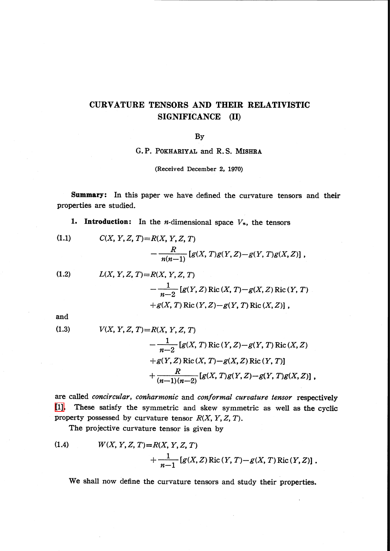# CURVATURE TENSORS AND THEIR RELATIVISTIC SIGNIFICANCE (II)

## By

G. P. POKHARIYAL and R. S. MISHRA

(Received December 2, 1970)

Summary: In this paper we have defined the curvature tensors and their properties are studied.

**1. Introduction:** In the *n*-dimensional space  $V_{n}$ , the tensors

$$
(\mathbf{1.1})
$$

<span id="page-0-0"></span>(1.1) 
$$
C(X, Y, Z, T) = R(X, Y, Z, T) - \frac{R}{n(n-1)} [g(X, T)g(Y, Z) - g(Y, T)g(X, Z)],
$$

(1.2) 
$$
L(X, Y, Z, T) = R(X, Y, Z, T) - \frac{1}{n-2} [g(Y, Z) \operatorname{Ric}(X, T) - g(X, Z) \operatorname{Ric}(Y, T) + g(X, T) \operatorname{Ric}(Y, Z) - g(Y, T) \operatorname{Ric}(X, Z)] ,
$$

and

<span id="page-0-1"></span>(1.3) 
$$
V(X, Y, Z, T) = R(X, Y, Z, T) \n- \frac{1}{n-2} [g(X, T) \text{ Ric}(Y, Z) - g(Y, T) \text{ Ric}(X, Z) \n+ g(Y, Z) \text{ Ric}(X, T) - g(X, Z) \text{ Ric}(Y, T)] \n+ \frac{R}{(n-1)(n-2)} [g(X, T)g(Y, Z) - g(Y, T)g(X, Z)] ,
$$

are called concircular, conharmonic and conformal curvature tensor respectively [\[1\].](#page-6-0) These satisfy the symmetric and skew symmetric as well as the cyclic property possessed by curvature tensor  $R(X, Y, Z, T)$ .

The projective curvature tensor is given by

(1.4) 
$$
W(X, Y, Z, T) = R(X, Y, Z, T) + \frac{1}{n-1} [g(X, Z) \text{Ric}(Y, T) - g(X, T) \text{Ric}(Y, Z)].
$$

We shall now define the curvature tensors and study their properties.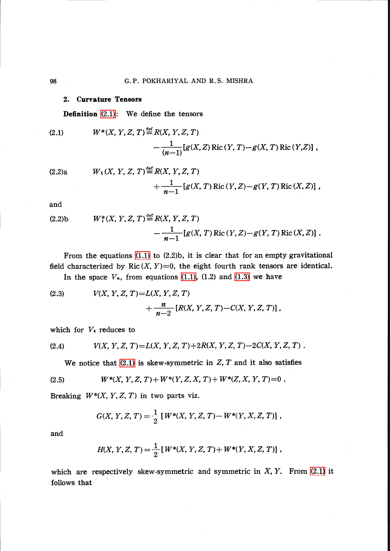### 2. Curvature Tensors

**Definition**  $(2.1)$ : We define the tensors

<span id="page-1-0"></span>(2.1) 
$$
W^*(X, Y, Z, T) \stackrel{\text{def}}{=} R(X, Y, Z, T) -\frac{1}{(n-1)} [g(X, Z) \text{ Ric}(Y, T) - g(X, T) \text{ Ric}(Y, Z)]
$$

(2.2)a 
$$
W_1(X, Y, Z, T) \stackrel{\text{def}}{=} R(X, Y, Z, T)
$$
  
  $+ \frac{1}{n-1} [g(X, T) \text{ Ric}(Y, Z) - g(Y, T) \text{ Ric}(X, Z)]$ ,

and

(2.2)b 
$$
W_1^*(X, Y, Z, T) \stackrel{\text{def}}{=} R(X, Y, Z, T)
$$
  

$$
- \frac{1}{n-1} [g(X, T) \text{ Ric}(Y, Z) - g(Y, T) \text{ Ric}(X, Z)].
$$

From the equations  $(1.1)$  to  $(2.2)$ b, it is clear that for an empty gravitational field characterized by  $Ric(X, Y) = 0$ , the eight fourth rank tensors are identical.

In the space  $V_{n}$ , from equations [\(1.1\),](#page-0-0) (1.2) and [\(1.3\)](#page-0-1) we have

(2.3) 
$$
V(X, Y, Z, T) = L(X, Y, Z, T) + \frac{n}{n-2} [R(X, Y, Z, T) - C(X, Y, Z, T)],
$$

which for  $V_{4}$  reduces to

$$
(2.4) \tV(X, Y, Z, T) = L(X, Y, Z, T) + 2R(X, Y, Z, T) - 2C(X, Y, Z, T) .
$$

We notice that [\(2.1\)](#page-1-0) is skew-symmetric in  $Z$ ,  $T$  and it also satisfies

$$
(2.5) \t W^*(X, Y, Z, T) + W^*(Y, Z, X, T) + W^*(Z, X, Y, T) = 0.
$$

Breaking  $W^{*}(X, Y, Z, T)$  in two parts viz.

$$
G(X, Y, Z, T) = \frac{1}{2} [W^*(X, Y, Z, T) - W^*(Y, X, Z, T)]
$$

and

$$
H(X, Y, Z, T) = \frac{1}{2} [W^*(X, Y, Z, T) + W^*(Y, X, Z, T)] ,
$$

which are respectively skew-symmetric and symmetric in  $X$ ,  $Y$ . From [\(2.1\)](#page-1-0) it follows that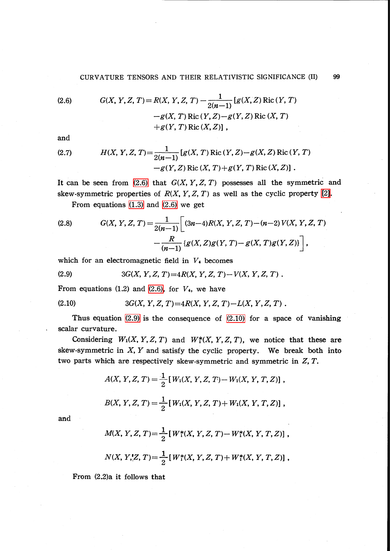<span id="page-2-0"></span>(2.6) 
$$
G(X, Y, Z, T) = R(X, Y, Z, T) - \frac{1}{2(n-1)} [g(X, Z) \operatorname{Ric}(Y, T) - g(X, T) \operatorname{Ric}(Y, Z) - g(Y, Z) \operatorname{Ric}(X, T) + g(Y, T) \operatorname{Ric}(X, Z)],
$$

and

<span id="page-2-3"></span>(2.7) 
$$
H(X, Y, Z, T) = \frac{1}{2(n-1)} [g(X, T) \operatorname{Ric}(Y, Z) - g(X, Z) \operatorname{Ric}(Y, T) - g(Y, Z) \operatorname{Ric}(X, T) + g(Y, T) \operatorname{Ric}(X, Z)].
$$

It can be seen from  $(2.6)$  that  $G(X, Y, Z, T)$  possesses all the symmetric and skew-symmetric properties of  $R(X, Y, Z, T)$  as well as the cyclic property [\[2\].](#page-6-1)

From equations [\(1.3\)](#page-0-1) and [\(2.6\)](#page-2-0) we get

(2.8) 
$$
G(X, Y, Z, T) = \frac{1}{2(n-1)} \left[ (3n-4)R(X, Y, Z, T) - (n-2) V(X, Y, Z, T) - \frac{R}{(n-1)} \{g(X, Z)g(Y, T) - g(X, T)g(Y, Z)\} \right],
$$

which for an electromagnetic field in  $V_{4}$  becomes

<span id="page-2-1"></span>
$$
(2.9) \t3G(X, Y, Z, T)=4R(X, Y, Z, T)-V(X, Y, Z, T).
$$

From equations (1.2) and [\(2.6\),](#page-2-0) for  $V_{4}$ , we have

<span id="page-2-2"></span>
$$
(2.10) \t 3G(X, Y, Z, T)=4R(X, Y, Z, T)-L(X, Y, Z, T).
$$

Thus equation [\(2.9\)](#page-2-1) is the consequence of [\(2.10\)](#page-2-2) for a space of vanishing scalar curvature.

Considering  $W_{1}(X, Y, Z, T)$  and  $W_{1}^{*}(X, Y, Z, T)$ , we notice that these are skew-symmetric in  $X$ ,  $Y$  and satisfy the cyclic property. We break both into two parts which are respectively skew-symmetric and symmetric in  $Z, T$ .

$$
A(X, Y, Z, T) = \frac{1}{2} [W_1(X, Y, Z, T) - W_1(X, Y, T, Z)],
$$
  

$$
B(X, Y, Z, T) = \frac{1}{2} [W_1(X, Y, Z, T) + W_1(X, Y, T, Z)],
$$

and

$$
M(X, Y, Z, T) = \frac{1}{2} [W_1^*(X, Y, Z, T) - W_1^*(X, Y, T, Z)]
$$
  

$$
N(X, Y, Z, T) = \frac{1}{2} [W_1^*(X, Y, Z, T) + W_1^*(X, Y, T, Z)]
$$

From  $(2.2)a$  it follows that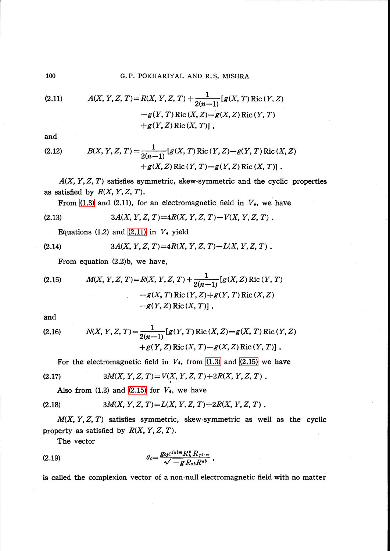# 100 **G.P. POKHARIYAL AND R.S. MISHRA**

<span id="page-3-0"></span>(2.11) 
$$
A(X, Y, Z, T) = R(X, Y, Z, T) + \frac{1}{2(n-1)} [g(X, T) \operatorname{Ric}(Y, Z) - g(Y, T) \operatorname{Ric}(X, Z) - g(X, Z) \operatorname{Ric}(Y, T) + g(Y, Z) \operatorname{Ric}(X, T)],
$$

and

(2.12) 
$$
B(X, Y, Z, T) = \frac{1}{2(n-1)} [g(X, T) \operatorname{Ric}(Y, Z) - g(Y, T) \operatorname{Ric}(X, Z) + g(X, Z) \operatorname{Ric}(Y, T) - g(Y, Z) \operatorname{Ric}(X, T)].
$$

 $A(X, Y, Z, T)$  satisfies symmetric, skew-symmetric and the cyclic properties as satisfied by  $R(X, Y, Z, T)$ .

From [\(1.3\)](#page-0-1) and (2.11), for an electromagnetic field in  $V_{4}$ , we have

$$
(2.13) \t3A(X, Y, Z, T) = 4R(X, Y, Z, T) - V(X, Y, Z, T) .
$$

Equations (1.2) and [\(2.11\)](#page-3-0) in  $V_{4}$  yield

$$
(2.14) \t3A(X, Y, Z, T)=4R(X, Y, Z, T)-L(X, Y, Z, T).
$$

From equation  $(2.2)$ b, we have,

<span id="page-3-1"></span>(2.15) 
$$
M(X, Y, Z, T) = R(X, Y, Z, T) + \frac{1}{2(n-1)} [g(X, Z) \operatorname{Ric}(Y, T) - g(X, T) \operatorname{Ric}(Y, Z) + g(Y, T) \operatorname{Ric}(X, Z) - g(Y, Z) \operatorname{Ric}(X, T)]
$$

and

(2.16) 
$$
N(X, Y, Z, T) = \frac{1}{2(n-1)} [g(Y, T) \operatorname{Ric}(X, Z) - g(X, T) \operatorname{Ric}(Y, Z) + g(Y, Z) \operatorname{Ric}(X, T) - g(X, Z) \operatorname{Ric}(Y, T)].
$$

For the electromagnetic field in  $V_4$ , from [\(1.3\)](#page-0-1) and [\(2.15\)](#page-3-1) we have

$$
(2.17) \t3M(X, Y, Z, T) = V(X, Y, Z, T) + 2R(X, Y, Z, T) .
$$

Also from  $(1.2)$  and  $(2.15)$  for  $V_{4}$ , we have

(2.18) 
$$
3M(X, Y, Z, T) = L(X, Y, Z, T) + 2R(X, Y, Z, T).
$$

 $M(X, Y, Z, T)$  satisfies symmetric, skew-symmetric as well as the cyclic property as satisfied by  $R(X, Y, Z, T)$ .

The vector

(2.19) 
$$
\theta_i = \frac{g_{ij} \epsilon^{j k l m} R_k^p R_{p l ; m}}{\sqrt{-g} R_{ab} R^{ab}},
$$

is called the complexion vector of a non-null electromagnetic field with no matter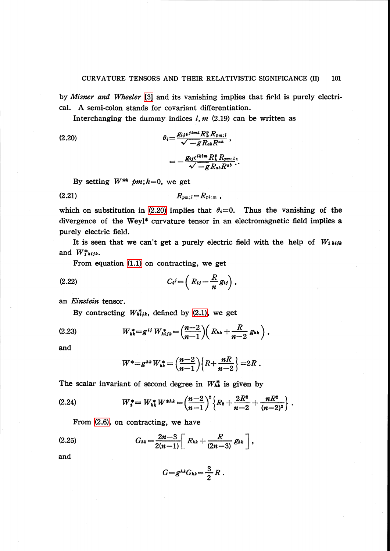### CURVATURE TENSORS AND THEIR RELATIVISTIC SIGNIFICANCE (II) 101

by Misner and Wheeler [\[3\]](#page-6-2) and its vanishing implies that field is purely electrical. A semi-colon stands for covariant differentiation.

Interchanging the dummy indices  $l, m$  (2.19) can be written as

<span id="page-4-0"></span>(2.20)  
\n
$$
\theta_{i} = \frac{g_{ij}\epsilon^{jkml}R_{k}^{p}R_{pm;l}}{\sqrt{-g}R_{ab}R^{ah}},
$$
\n
$$
= -\frac{g_{ij}\epsilon^{iklm}R_{k}^{p}R_{pm;l}}{\sqrt{-g}R_{ab}R^{ab}}.
$$

By setting  $W^{*h}$  pm;  $h=0$ , we get

$$
(2.21) \t R_{pm;l}=R_{pl;m},
$$

which on substitution in [\(2.20\)](#page-4-0) implies that  $\theta_{i}=0$ . Thus the vanishing of the divergence of the Weyl\* curvature tensor in an electromagnetic field implies a purely electric field.

It is seen that we can't get a purely electric field with the help of  $W_{1\,$  iii and  $W_{1}^{*}{}_{hijk}$ .

From equation [\(1.1\)](#page-0-0) on contracting, we get

$$
(2.22) \tC_i^j = \left(R_{ij} - \frac{R}{n} g_{ij}\right),
$$

an Einstein tensor.

By contracting  $W_{\kappa ijk}^{*}$ , defined by [\(2.1\)](#page-1-0), we get

<span id="page-4-1"></span>(2.23) 
$$
W_{hk}^* = g^{ij} W_{hijk}^* = \left(\frac{n-2}{n-1}\right) \left(R_{hk} + \frac{R}{n-2} g_{hk}\right),
$$

and

$$
W^* = g^{\lambda k} W_{\lambda k}^* = \left(\frac{n-2}{n-1}\right) \left\{ R + \frac{nR}{n-2} \right\} = 2R.
$$

The scalar invariant of second degree in  $W_{hk}^{*}$  is given by

(2.24) 
$$
W_{2}^{*}=W_{hk}^{*}W^{*hk}=\left(\frac{n-2}{n-1}\right)^{2}\left\{R_{2}+\frac{2R^{2}}{n-2}+\frac{nR^{2}}{(n-2)^{2}}\right\}.
$$

From  $(2.6)$ , on contracting, we have

(2.25) 
$$
G_{hk} = \frac{2n-3}{2(n-1)} \left[ R_{hk} + \frac{R}{(2n-3)} g_{hk} \right],
$$

and

$$
G = g^{\lambda k} G_{\lambda k} = \frac{3}{2} R.
$$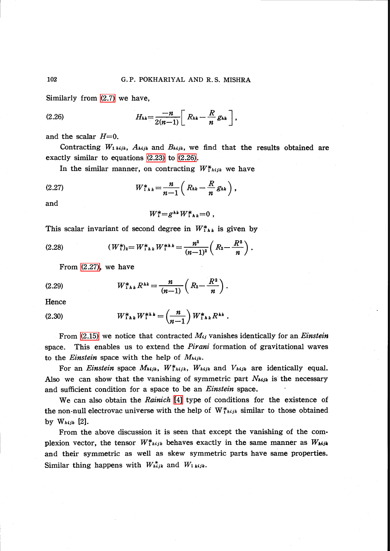Similarly from [\(2.7\)](#page-2-3) we have,

<span id="page-5-0"></span>
$$
(2.26) \tH_{hk} = \frac{-n}{2(n-1)} \left[ R_{hk} - \frac{R}{n} g_{hk} \right],
$$

and the scalar  $H=0$ .

Contracting  $W_{1hijk}$ ,  $A_{hijk}$  and  $B_{hijk}$ , we find that the results obtained are exactly similar to equations [\(2.23\)](#page-4-1) to [\(2.26\).](#page-5-0)

In the similar manner, on contracting  $W_{1hijk}^{*}$  we have

<span id="page-5-1"></span>(2.27) 
$$
W_{1 \, k}^{*} = \frac{n}{n-1} \left( R_{kk} - \frac{R}{n} g_{kk} \right),
$$

and

$$
W_1^*=g^{hk}W_{1,h,k}^*=0,
$$

This scalar invariant of second degree in  $W_{1,h,k}^{*}$  is given by

(2.28) 
$$
(W_1^*)_2 = W_{1 \, h \, k}^* W_1^{*h \, k} = \frac{n^2}{(n-1)^2} \left( R_2 - \frac{R^2}{n} \right).
$$

From [\(2.27\),](#page-5-1) we have

(2.29) 
$$
W_{1 \, k}^* R^{hk} = \frac{n}{(n-1)} \left( R_2 - \frac{R^2}{n} \right).
$$

Hence

(2.30) 
$$
W_{1 \, k}^* W_1^{* \, k} = \left(\frac{n}{n-1}\right) W_{1 \, k}^* R^{k k} .
$$

From [\(2.15\)](#page-3-1) we notice that contracted  $M_{ij}$  vanishes identically for an Einstein space. This enables us to extend the *Pirani* formation of gravitational waves to the Einstein space with the help of  $M_{h\text{-}ijk}$ .

For an Einstein space  $M_{hijk}$ ,  $W_{1hijk}^{*}$ ,  $W_{hijk}$  and  $V_{hijk}$  are identically equal. Also we can show that the vanishing of symmetric part  $N_{hijk}$  is the necessary and sufficient condition for a space to be an Einstein space.

We can also obtain the *Rainich* [\[4\]](#page-6-3) type of conditions for the existence of the non-null electrovac universe with the help of  $W_{1hijk}^{*}$  similar to those obtained by  $W_{hijk}$  [2].

From the above discussion it is seen that except the vanishing of the complexion vector, the tensor  $W_{1}^{*_{hijk}}$  behaves exactly in the same manner as  $W_{hijk}$ and their symmetric as well as skew symmetric parts have same properties. Similar thing happens with  $W_{hijk}^{*}$  and  $W_{1hijk}$ .